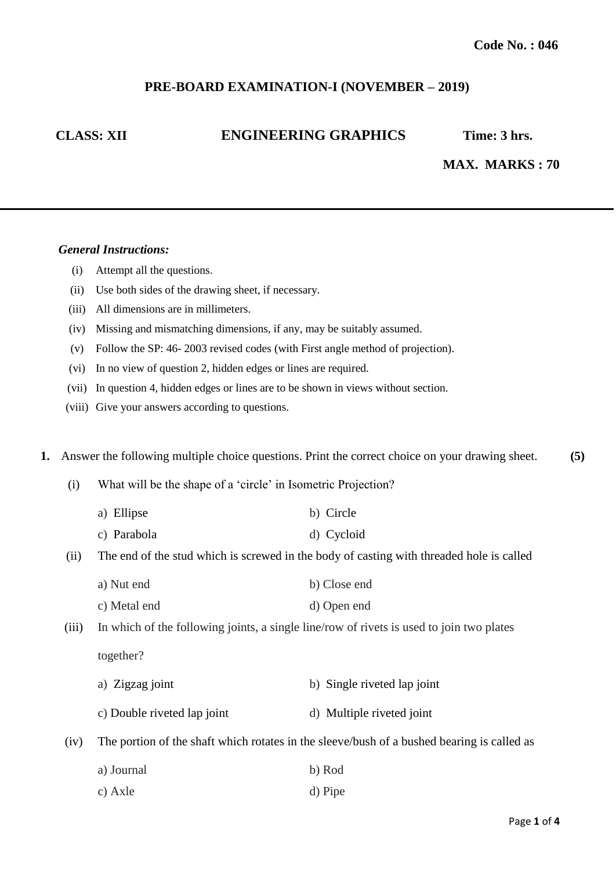# **PRE-BOARD EXAMINATION-I (NOVEMBER – 2019)**

# **CLASS: XII ENGINEERING GRAPHICS Time: 3 hrs.**

# **MAX. MARKS : 70**

#### *General Instructions:*

- (i) Attempt all the questions.
- (ii) Use both sides of the drawing sheet, if necessary.
- (iii) All dimensions are in millimeters.
- (iv) Missing and mismatching dimensions, if any, may be suitably assumed.
- (v) Follow the SP: 46- 2003 revised codes (with First angle method of projection).
- (vi) In no view of question 2, hidden edges or lines are required.
- (vii) In question 4, hidden edges or lines are to be shown in views without section.
- (viii) Give your answers according to questions.

**1.** Answer the following multiple choice questions. Print the correct choice on your drawing sheet. **(5)**

- (i) What will be the shape of a 'circle' in Isometric Projection?
	- a) Ellipse b) Circle
	- c) Parabola d) Cycloid
- (ii) The end of the stud which is screwed in the body of casting with threaded hole is called
	- a) Nut end b) Close end
	- c) Metal end d) Open end

(iii) In which of the following joints, a single line/row of rivets is used to join two plates

together?

- a) Zigzag joint b) Single riveted lap joint
- c) Double riveted lap joint d) Multiple riveted joint

(iv) The portion of the shaft which rotates in the sleeve/bush of a bushed bearing is called as

| a) Journal | b) Rod  |
|------------|---------|
| c) Axle    | d) Pipe |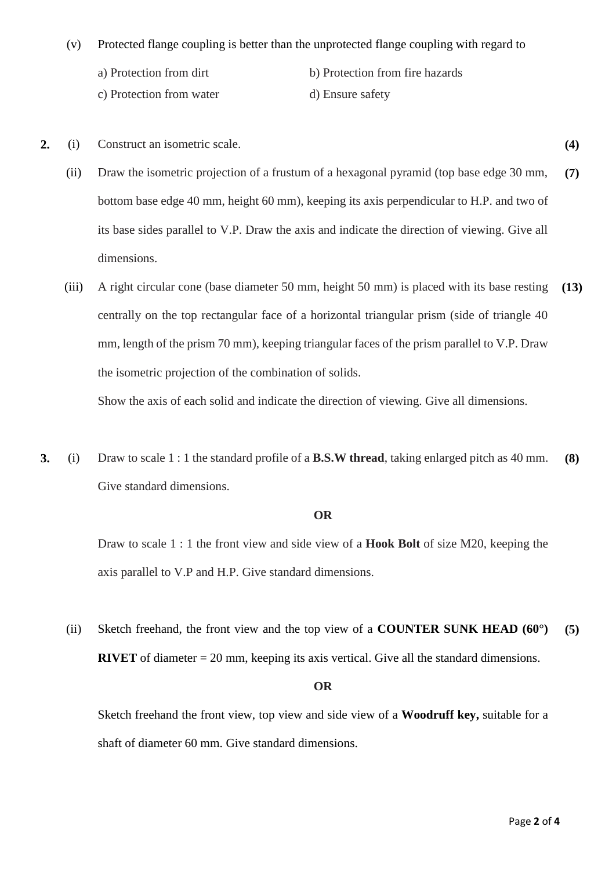- (v) Protected flange coupling is better than the unprotected flange coupling with regard to
	- b) Protection from fire hazards
	- c) Protection from water

a) Protection from dirt

- d) Ensure safety
- **2.** (i) Construct an isometric scale. **(4)**
	- (ii) Draw the isometric projection of a frustum of a hexagonal pyramid (top base edge 30 mm, bottom base edge 40 mm, height 60 mm), keeping its axis perpendicular to H.P. and two of its base sides parallel to V.P. Draw the axis and indicate the direction of viewing. Give all dimensions. **(7)**
	- (iii) A right circular cone (base diameter 50 mm, height 50 mm) is placed with its base resting centrally on the top rectangular face of a horizontal triangular prism (side of triangle 40 mm, length of the prism 70 mm), keeping triangular faces of the prism parallel to V.P. Draw the isometric projection of the combination of solids. **(13)**

Show the axis of each solid and indicate the direction of viewing. Give all dimensions.

**3.** (i) Draw to scale 1 : 1 the standard profile of a **B.S.W thread**, taking enlarged pitch as 40 mm. Give standard dimensions. **(8)**

### **OR**

Draw to scale 1 : 1 the front view and side view of a **Hook Bolt** of size M20, keeping the axis parallel to V.P and H.P. Give standard dimensions.

(ii) Sketch freehand, the front view and the top view of a **COUNTER SUNK HEAD (60°) RIVET** of diameter = 20 mm, keeping its axis vertical. Give all the standard dimensions. **(5)**

#### **OR**

Sketch freehand the front view, top view and side view of a **Woodruff key,** suitable for a shaft of diameter 60 mm. Give standard dimensions.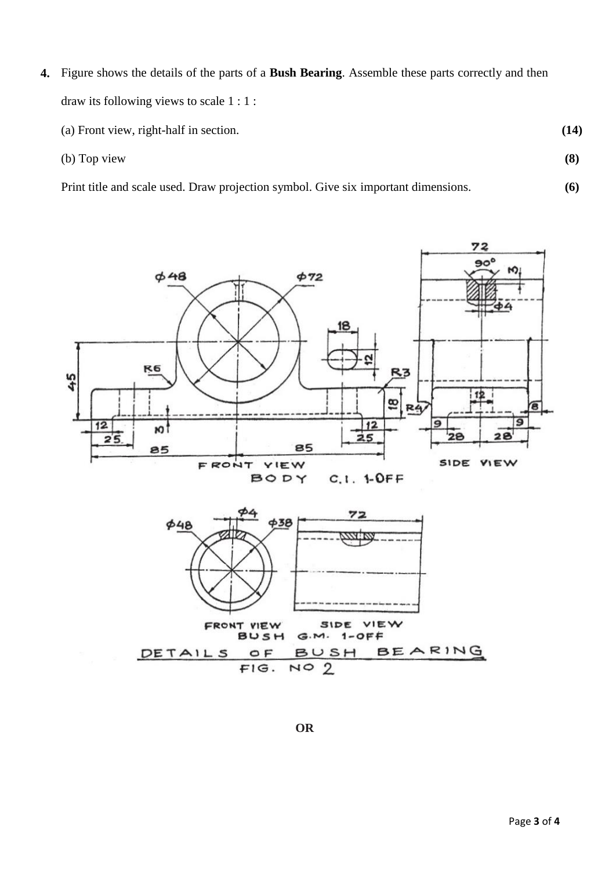- **4.** Figure shows the details of the parts of a **Bush Bearing**. Assemble these parts correctly and then draw its following views to scale 1 : 1 :
	- (a) Front view, right-half in section.
	- (b) Top view

Print title and scale used. Draw projection symbol. Give six important dimensions.



**OR**

**(14)**

**(8)**

**(6)**